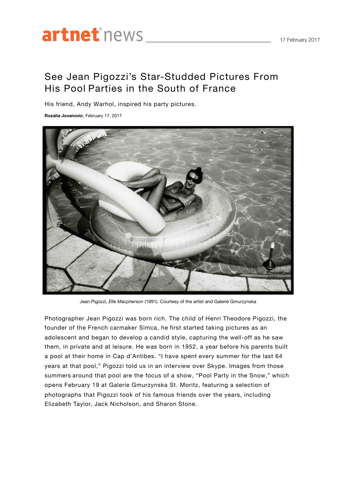# artnet<sup>®</sup>news

## See Jean Pigozzi's Star-Studded Pictures From His Pool Parties in the South of France

His friend, Andy Warhol, inspired his party pictures.

**Rozalia Jovanovic**, February 17, 2017



Jean Pigozzi, *Elle Macpherson* (1991). Courtesy of the artist and Galerie Gmurzynska

Photographer Jean Pigozzi was born rich. The child of Henri Theodore Pigozzi, the founder of the French carmaker Simca, he first started taking pictures as an adolescent and began to develop a candid style, capturing the well-off as he saw them, in private and at leisure. He was born in 1952, a year before his parents built a pool at their home in Cap d'Antibes. "I have spent every summer for the last 64 years at that pool," Pigozzi told us in an interview over Skype. Images from those summers around that pool are the focus of a show, "Pool Party in the Snow," which opens February 19 at Galerie Gmurzynska St. Moritz, featuring a selection of photographs that Pigozzi took of his famous friends over the years, including Elizabeth Taylor, Jack Nicholson, and Sharon Stone.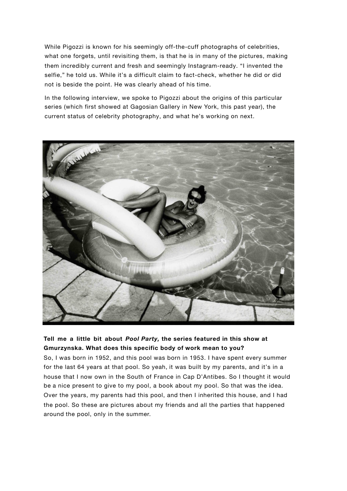While Pigozzi is known for his seemingly off-the-cuff photographs of celebrities, what one forgets, until revisiting them, is that he is in many of the pictures, making them incredibly current and fresh and seemingly Instagram-ready. "I invented the selfie," he told us. While it's a difficult claim to fact-check, whether he did or did not is beside the point. He was clearly ahead of his time.

In the following interview, we spoke to Pigozzi about the origins of this particular series (which first showed at Gagosian Gallery in New York, this past year), the current status of celebrity photography, and what he's working on next.



## **Tell me a little bit about Pool Party, the series featured in this show at Gmurzynska. What does this specific body of work mean to you?**

So, I was born in 1952, and this pool was born in 1953. I have spent every summer for the last 64 years at that pool. So yeah, it was built by my parents, and it's in a house that I now own in the South of France in Cap D'Antibes. So I thought it would be a nice present to give to my pool, a book about my pool. So that was the idea. Over the years, my parents had this pool, and then I inherited this house, and I had the pool. So these are pictures about my friends and all the parties that happened around the pool, only in the summer.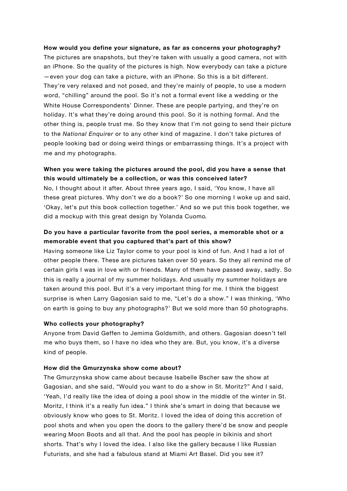#### **How would you define your signature, as far as concerns your photography?**

The pictures are snapshots, but they're taken with usually a good camera, not with an iPhone. So the quality of the pictures is high. Now everybody can take a picture —even your dog can take a picture, with an iPhone. So this is a bit different. They're very relaxed and not posed, and they're mainly of people, to use a modern word, "chilling" around the pool. So it's not a formal event like a wedding or the White House Correspondents' Dinner. These are people partying, and they're on holiday. It's what they're doing around this pool. So it is nothing formal. And the other thing is, people trust me. So they know that I'm not going to send their picture to the *National Enquirer* or to any other kind of magazine. I don't take pictures of people looking bad or doing weird things or embarrassing things. It's a project with me and my photographs.

## **When you were taking the pictures around the pool, did you have a sense that this would ultimately be a collection, or was this conceived later?**

No, I thought about it after. About three years ago, I said, 'You know, I have all these great pictures. Why don't we do a book?' So one morning I woke up and said, 'Okay, let's put this book collection together.' And so we put this book together, we did a mockup with this great design by Yolanda Cuomo.

## **Do you have a particular favorite from the pool series, a memorable shot or a memorable event that you captured that's part of this show?**

Having someone like Liz Taylor come to your pool is kind of fun. And I had a lot of other people there. These are pictures taken over 50 years. So they all remind me of certain girls I was in love with or friends. Many of them have passed away, sadly. So this is really a journal of my summer holidays. And usually my summer holidays are taken around this pool. But it's a very important thing for me. I think the biggest surprise is when Larry Gagosian said to me, "Let's do a show." I was thinking, 'Who on earth is going to buy any photographs?' But we sold more than 50 photographs.

#### **Who collects your photography?**

Anyone from David Geffen to Jemima Goldsmith, and others. Gagosian doesn't tell me who buys them, so I have no idea who they are. But, you know, it's a diverse kind of people.

#### **How did the Gmurzynska show come about?**

The Gmurzynska show came about because Isabelle Bscher saw the show at Gagosian, and she said, "Would you want to do a show in St. Moritz?" And I said, 'Yeah, I'd really like the idea of doing a pool show in the middle of the winter in St. Moritz, I think it's a really fun idea." I think she's smart in doing that because we obviously know who goes to St. Moritz. I loved the idea of doing this accretion of pool shots and when you open the doors to the gallery there'd be snow and people wearing Moon Boots and all that. And the pool has people in bikinis and short shorts. That's why I loved the idea. I also like the gallery because I like Russian Futurists, and she had a fabulous stand at Miami Art Basel. Did you see it?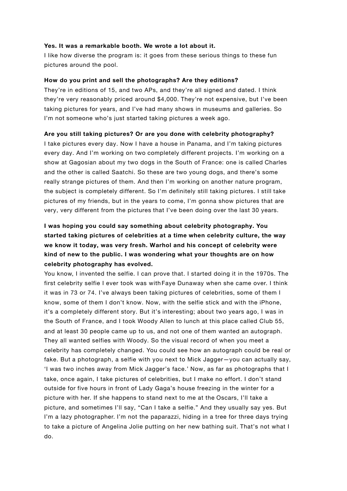#### **Yes. It was a remarkable booth. We wrote a lot about it.**

I like how diverse the program is: it goes from these serious things to these fun pictures around the pool.

#### **How do you print and sell the photographs? Are they editions?**

They're in editions of 15, and two APs, and they're all signed and dated. I think they're very reasonably priced around \$4,000. They're not expensive, but I've been taking pictures for years, and I've had many shows in museums and galleries. So I'm not someone who's just started taking pictures a week ago.

#### **Are you still taking pictures? Or are you done with celebrity photography?**

I take pictures every day. Now I have a house in Panama, and I'm taking pictures every day. And I'm working on two completely different projects. I'm working on a show at Gagosian about my two dogs in the South of France: one is called Charles and the other is called Saatchi. So these are two young dogs, and there's some really strange pictures of them. And then I'm working on another nature program, the subject is completely different. So I'm definitely still taking pictures. I still take pictures of my friends, but in the years to come, I'm gonna show pictures that are very, very different from the pictures that I've been doing over the last 30 years.

## **I was hoping you could say something about celebrity photography. You started taking pictures of celebrities at a time when celebrity culture, the way we know it today, was very fresh. Warhol and his concept of celebrity were kind of new to the public. I was wondering what your thoughts are on how celebrity photography has evolved.**

You know, I invented the selfie. I can prove that. I started doing it in the 1970s. The first celebrity selfie I ever took was with Faye Dunaway when she came over. I think it was in 73 or 74. I've always been taking pictures of celebrities, some of them I know, some of them I don't know. Now, with the selfie stick and with the iPhone, it's a completely different story. But it's interesting; about two years ago, I was in the South of France, and I took Woody Allen to lunch at this place called Club 55, and at least 30 people came up to us, and not one of them wanted an autograph. They all wanted selfies with Woody. So the visual record of when you meet a celebrity has completely changed. You could see how an autograph could be real or fake. But a photograph, a selfie with you next to Mick Jagger—you can actually say, 'I was two inches away from Mick Jagger's face.' Now, as far as photographs that I take, once again, I take pictures of celebrities, but I make no effort. I don't stand outside for five hours in front of Lady Gaga's house freezing in the winter for a picture with her. If she happens to stand next to me at the Oscars, I'll take a picture, and sometimes I'll say, "Can I take a selfie." And they usually say yes. But I'm a lazy photographer. I'm not the paparazzi, hiding in a tree for three days trying to take a picture of Angelina Jolie putting on her new bathing suit. That's not what I do.